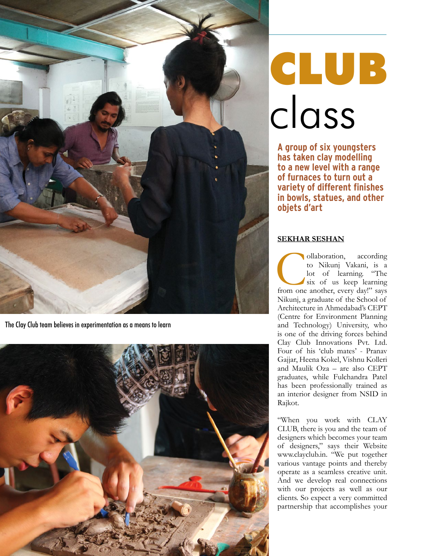

The Clay Club team believes in experimentation as a means to learn



## **CLUB** class

**A group of six youngsters has taken clay modelling to a new level with a range of furnaces to turn out a variety of different finishes in bowls, statues, and other objets d'art**

## **SEKHAR SESHAN**

Collaboration, according to Nikunj Vakani, is a lot of learning. "The six of us keep learning from one another, every day!" says to Nikunj Vakani, is a lot of learning. "The six of us keep learning Nikunj, a graduate of the School of Architecture in Ahmedabad's CEPT (Centre for Environment Planning and Technology) University, who is one of the driving forces behind Clay Club Innovations Pvt. Ltd. Four of his 'club mates' - Pranav Gajjar, Heena Kokel, Vishnu Kolleri and Maulik Oza – are also CEPT graduates, while Fulchandra Patel has been professionally trained as an interior designer from NSID in Rajkot.

"When you work with CLAY CLUB, there is you and the team of designers which becomes your team of designers," says their Website www.clayclub.in. "We put together various vantage points and thereby operate as a seamless creative unit. And we develop real connections with our projects as well as our clients. So expect a very committed partnership that accomplishes your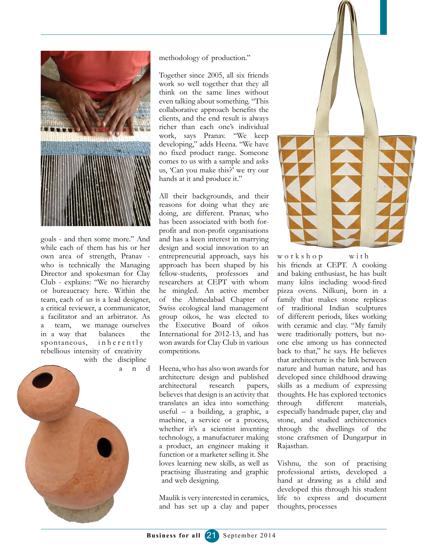

goals - and then some more." And while each of them has his or her own area of strength, Pranav who is technically the Managing Director and spokesman for Clay Club - explains: "We no hierarchy or bureaucracy here. Within the team, each of us is a lead designer, a critical reviewer, a communicator, a facilitator and an arbitrator. As a team, we manage ourselves in a way that balances the spontaneous,  $\int$  in here ntly rebellious intensity of creativity with the discipline

a n d



methodology of production."

Together since 2005, all six friends work so well together that they all think on the same lines without even talking about something. "This collaborative approach benefits the clients, and the end result is always richer than each one's individual work, says Pranav. "We keep developing," adds Heena. "We have no fixed product range. Someone comes to us with a sample and asks us, 'Can you make this?' we try our hands at it and produce it."

All their backgrounds, and their reasons for doing what they are doing, are different. Pranav, who has been associated with both forprofit and non-profit organisations and has a keen interest in marrying design and social innovation to an entrepreneurial approach, says his approach has been shaped by his fellow-students, professors and researchers at CEPT with whom he mingled. An active member of the Ahmedabad Chapter of Swiss ecological land management group oikos, he was elected to the Executive Board of oikos International for 2012-13, and has won awards for Clay Club in various competitions.

Heena, who has also won awards for architecture design and published architectural research papers, believes that design is an activity that translates an idea into something useful – a building, a graphic, a machine, a service or a process, whether it's a scientist inventing technology, a manufacturer making a product, an engineer making it function or a marketer selling it. She loves learning new skills, as well as practising illustrating and graphic and web designing.

Maulik is very interested in ceramics, and has set up a clay and paper



 $w \circ r k s h \circ p$  with his friends at CEPT. A cooking and baking enthusiast, he has built many kilns including wood-fired pizza ovens. Nilkunj, born in a family that makes stone replicas of traditional Indian sculptures of different periods, likes working with ceramic and clay. "My family were traditionally potters, but noone else among us has connected back to that," he says. He believes that architecture is the link between nature and human nature, and has developed since childhood drawing skills as a medium of expressing thoughts. He has explored tectonics through different materials, especially handmade paper, clay and stone, and studied architectonics through the dwellings of the stone craftsmen of Dungarpur in Rajasthan.

Vishnu, the son of practising professional artists, developed a hand at drawing as a child and developed this through his student life to express and document thoughts, processes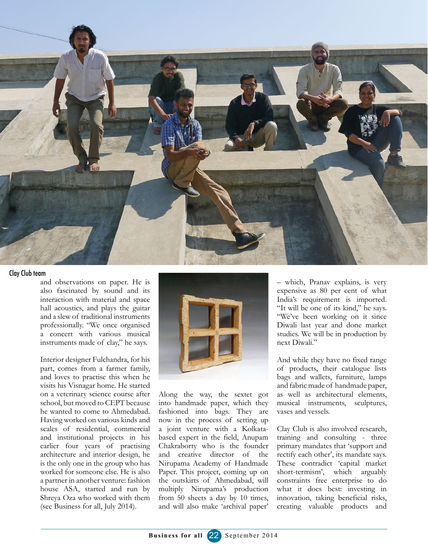

## Clay Club team

and observations on paper. He is also fascinated by sound and its interaction with material and space hall acoustics, and plays the guitar and a slew of traditional instruments professionally. "We once organised a concert with various musical instruments made of clay," he says.

Interior designer Fulchandra, for his part, comes from a farmer family, and loves to practise this when he visits his Visnagar home. He started on a veterinary science course after school, but moved to CEPT because he wanted to come to Ahmedabad. Having worked on various kinds and scales of residential, commercial and institutional projects in his earlier four years of practising architecture and interior design, he is the only one in the group who has worked for someone else. He is also a partner in another venture: fashion house ASA, started and run by Shreya Oza who worked with them (see Business for all, July 2014).



Along the way, the sextet got into handmade paper, which they fashioned into bags. They are now in the process of setting up a joint venture with a Kolkatabased expert in the field, Anupam Chakraborty who is the founder and creative director of the Nirupama Academy of Handmade Paper. This project, coming up on the outskirts of Ahmedabad, will multiply Nirupama's production from 50 sheets a day by 10 times, and will also make 'archival paper'

– which, Pranav explains, is very expensive as 80 per cent of what India's requirement is imported. "It will be one of its kind," he says. "We've been working on it since Diwali last year and done market studies. We will be in production by next Diwali."

And while they have no fixed range of products, their catalogue lists bags and wallets, furniture, lamps and fabric made of handmade paper, as well as architectural elements, musical instruments, sculptures, vases and vessels.

Clay Club is also involved research, training and consulting - three primary mandates that 'support and rectify each other', its mandate says. These contradict 'capital market short-termism', which arguably constraints free enterprise to do what it does best: investing in innovation, taking beneficial risks, creating valuable products and